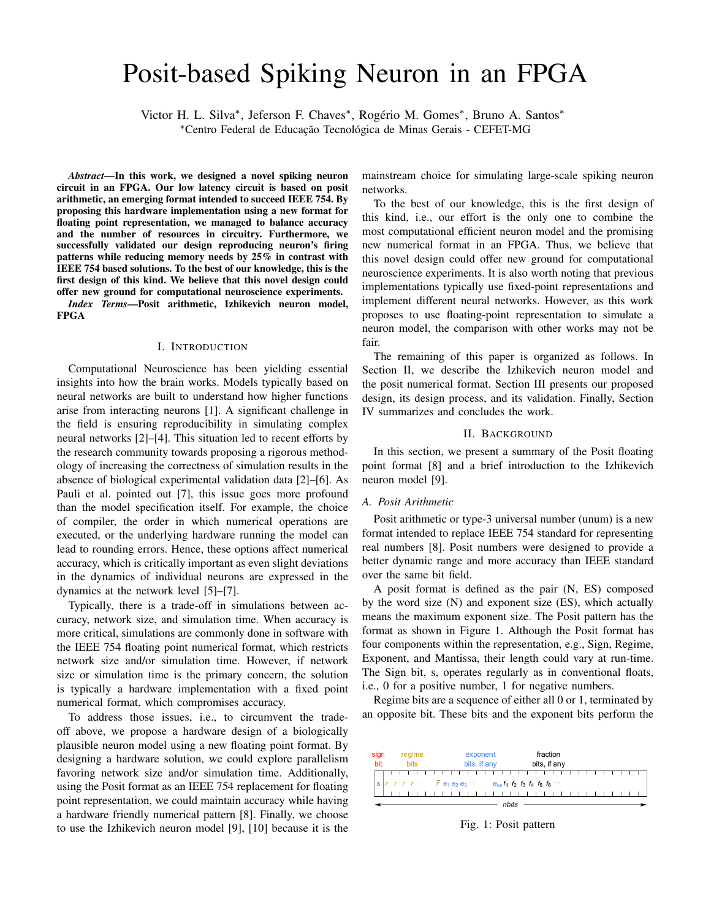# Posit-based Spiking Neuron in an FPGA

Victor H. L. Silva\*, Jeferson F. Chaves\*, Rogério M. Gomes\*, Bruno A. Santos\*

\*Centro Federal de Educação Tecnológica de Minas Gerais - CEFET-MG

*Abstract*—In this work, we designed a novel spiking neuron circuit in an FPGA. Our low latency circuit is based on posit arithmetic, an emerging format intended to succeed IEEE 754. By proposing this hardware implementation using a new format for floating point representation, we managed to balance accuracy and the number of resources in circuitry. Furthermore, we successfully validated our design reproducing neuron's firing patterns while reducing memory needs by 25% in contrast with IEEE 754 based solutions. To the best of our knowledge, this is the first design of this kind. We believe that this novel design could offer new ground for computational neuroscience experiments.

*Index Terms*—Posit arithmetic, Izhikevich neuron model, FPGA

#### I. INTRODUCTION

Computational Neuroscience has been yielding essential insights into how the brain works. Models typically based on neural networks are built to understand how higher functions arise from interacting neurons [1]. A significant challenge in the field is ensuring reproducibility in simulating complex neural networks [2]–[4]. This situation led to recent efforts by the research community towards proposing a rigorous methodology of increasing the correctness of simulation results in the absence of biological experimental validation data [2]–[6]. As Pauli et al. pointed out [7], this issue goes more profound than the model specification itself. For example, the choice of compiler, the order in which numerical operations are executed, or the underlying hardware running the model can lead to rounding errors. Hence, these options affect numerical accuracy, which is critically important as even slight deviations in the dynamics of individual neurons are expressed in the dynamics at the network level [5]–[7].

Typically, there is a trade-off in simulations between accuracy, network size, and simulation time. When accuracy is more critical, simulations are commonly done in software with the IEEE 754 floating point numerical format, which restricts network size and/or simulation time. However, if network size or simulation time is the primary concern, the solution is typically a hardware implementation with a fixed point numerical format, which compromises accuracy.

To address those issues, i.e., to circumvent the tradeoff above, we propose a hardware design of a biologically plausible neuron model using a new floating point format. By designing a hardware solution, we could explore parallelism favoring network size and/or simulation time. Additionally, using the Posit format as an IEEE 754 replacement for floating point representation, we could maintain accuracy while having a hardware friendly numerical pattern [8]. Finally, we choose to use the Izhikevich neuron model [9], [10] because it is the mainstream choice for simulating large-scale spiking neuron networks.

To the best of our knowledge, this is the first design of this kind, i.e., our effort is the only one to combine the most computational efficient neuron model and the promising new numerical format in an FPGA. Thus, we believe that this novel design could offer new ground for computational neuroscience experiments. It is also worth noting that previous implementations typically use fixed-point representations and implement different neural networks. However, as this work proposes to use floating-point representation to simulate a neuron model, the comparison with other works may not be fair.

The remaining of this paper is organized as follows. In Section II, we describe the Izhikevich neuron model and the posit numerical format. Section III presents our proposed design, its design process, and its validation. Finally, Section IV summarizes and concludes the work.

### II. BACKGROUND

In this section, we present a summary of the Posit floating point format [8] and a brief introduction to the Izhikevich neuron model [9].

## *A. Posit Arithmetic*

Posit arithmetic or type-3 universal number (unum) is a new format intended to replace IEEE 754 standard for representing real numbers [8]. Posit numbers were designed to provide a better dynamic range and more accuracy than IEEE standard over the same bit field.

A posit format is defined as the pair (N, ES) composed by the word size (N) and exponent size (ES), which actually means the maximum exponent size. The Posit pattern has the format as shown in Figure 1. Although the Posit format has four components within the representation, e.g., Sign, Regime, Exponent, and Mantissa, their length could vary at run-time. The Sign bit, s, operates regularly as in conventional floats, i.e., 0 for a positive number, 1 for negative numbers.

Regime bits are a sequence of either all 0 or 1, terminated by an opposite bit. These bits and the exponent bits perform the

| sıgr<br>bit | regime<br><b>bits</b> | exponent<br>bits, if any                                                                 | fraction<br>bits, if any |  |  |  |
|-------------|-----------------------|------------------------------------------------------------------------------------------|--------------------------|--|--|--|
|             |                       | $r r r r \cdots \bar{r} e_1 e_2 e_3 \cdots \qquad e_{es} f_1 f_2 f_3 f_4 f_5 f_6 \cdots$ |                          |  |  |  |
|             |                       |                                                                                          | nbits                    |  |  |  |

Fig. 1: Posit pattern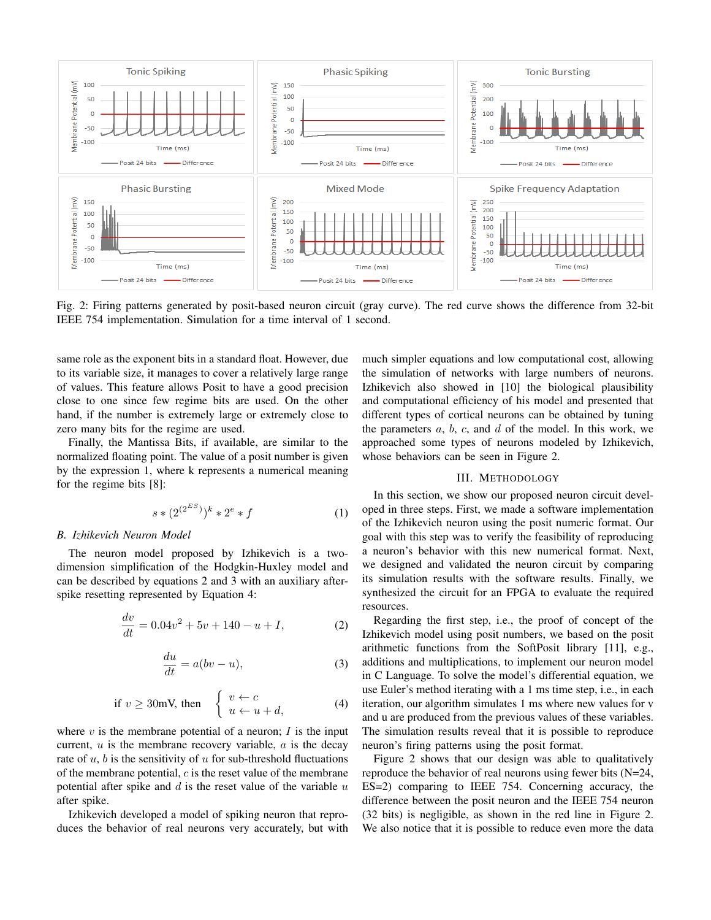

Fig. 2: Firing patterns generated by posit-based neuron circuit (gray curve). The red curve shows the difference from 32-bit IEEE 754 implementation. Simulation for a time interval of 1 second.

same role as the exponent bits in a standard float. However, due to its variable size, it manages to cover a relatively large range of values. This feature allows Posit to have a good precision close to one since few regime bits are used. On the other hand, if the number is extremely large or extremely close to zero many bits for the regime are used.

Finally, the Mantissa Bits, if available, are similar to the normalized floating point. The value of a posit number is given by the expression 1, where k represents a numerical meaning for the regime bits [8]:

$$
s * (2^{(2^{ES})})^k * 2^e * f \tag{1}
$$

#### *B. Izhikevich Neuron Model*

The neuron model proposed by Izhikevich is a twodimension simplification of the Hodgkin-Huxley model and can be described by equations 2 and 3 with an auxiliary afterspike resetting represented by Equation 4:

$$
\frac{dv}{dt} = 0.04v^2 + 5v + 140 - u + I,\tag{2}
$$

$$
\frac{du}{dt} = a(bv - u),\tag{3}
$$

if 
$$
v \ge 30
$$
mV, then 
$$
\begin{cases} v \leftarrow c \\ u \leftarrow u + d, \end{cases}
$$
 (4)

where  $v$  is the membrane potential of a neuron;  $I$  is the input current,  $u$  is the membrane recovery variable,  $a$  is the decay rate of  $u$ ,  $b$  is the sensitivity of  $u$  for sub-threshold fluctuations of the membrane potential,  $c$  is the reset value of the membrane potential after spike and  $d$  is the reset value of the variable  $u$ after spike.

Izhikevich developed a model of spiking neuron that reproduces the behavior of real neurons very accurately, but with much simpler equations and low computational cost, allowing the simulation of networks with large numbers of neurons. Izhikevich also showed in [10] the biological plausibility and computational efficiency of his model and presented that different types of cortical neurons can be obtained by tuning the parameters  $a, b, c$ , and  $d$  of the model. In this work, we approached some types of neurons modeled by Izhikevich, whose behaviors can be seen in Figure 2.

#### III. METHODOLOGY

In this section, we show our proposed neuron circuit developed in three steps. First, we made a software implementation of the Izhikevich neuron using the posit numeric format. Our goal with this step was to verify the feasibility of reproducing a neuron's behavior with this new numerical format. Next, we designed and validated the neuron circuit by comparing its simulation results with the software results. Finally, we synthesized the circuit for an FPGA to evaluate the required resources.

Regarding the first step, i.e., the proof of concept of the Izhikevich model using posit numbers, we based on the posit arithmetic functions from the SoftPosit library [11], e.g., additions and multiplications, to implement our neuron model in C Language. To solve the model's differential equation, we use Euler's method iterating with a 1 ms time step, i.e., in each iteration, our algorithm simulates 1 ms where new values for v and u are produced from the previous values of these variables. The simulation results reveal that it is possible to reproduce neuron's firing patterns using the posit format.

Figure 2 shows that our design was able to qualitatively reproduce the behavior of real neurons using fewer bits (N=24, ES=2) comparing to IEEE 754. Concerning accuracy, the difference between the posit neuron and the IEEE 754 neuron (32 bits) is negligible, as shown in the red line in Figure 2. We also notice that it is possible to reduce even more the data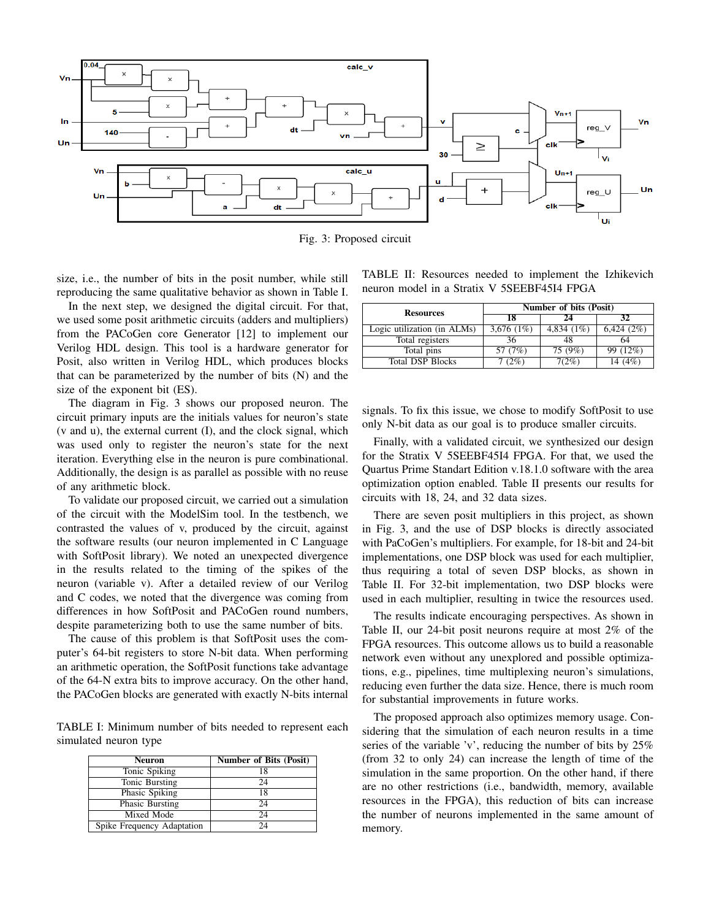

Fig. 3: Proposed circuit

size, i.e., the number of bits in the posit number, while still reproducing the same qualitative behavior as shown in Table I.

In the next step, we designed the digital circuit. For that, we used some posit arithmetic circuits (adders and multipliers) from the PACoGen core Generator [12] to implement our Verilog HDL design. This tool is a hardware generator for Posit, also written in Verilog HDL, which produces blocks that can be parameterized by the number of bits (N) and the size of the exponent bit (ES).

The diagram in Fig. 3 shows our proposed neuron. The circuit primary inputs are the initials values for neuron's state (v and u), the external current (I), and the clock signal, which was used only to register the neuron's state for the next iteration. Everything else in the neuron is pure combinational. Additionally, the design is as parallel as possible with no reuse of any arithmetic block.

To validate our proposed circuit, we carried out a simulation of the circuit with the ModelSim tool. In the testbench, we contrasted the values of v, produced by the circuit, against the software results (our neuron implemented in C Language with SoftPosit library). We noted an unexpected divergence in the results related to the timing of the spikes of the neuron (variable v). After a detailed review of our Verilog and C codes, we noted that the divergence was coming from differences in how SoftPosit and PACoGen round numbers, despite parameterizing both to use the same number of bits.

The cause of this problem is that SoftPosit uses the computer's 64-bit registers to store N-bit data. When performing an arithmetic operation, the SoftPosit functions take advantage of the 64-N extra bits to improve accuracy. On the other hand, the PACoGen blocks are generated with exactly N-bits internal

TABLE I: Minimum number of bits needed to represent each simulated neuron type

| <b>Neuron</b>              | <b>Number of Bits (Posit)</b> |
|----------------------------|-------------------------------|
| Tonic Spiking              | 18                            |
| Tonic Bursting             | 24                            |
| Phasic Spiking             | 18                            |
| Phasic Bursting            | 24                            |
| Mixed Mode                 | 24                            |
| Spike Frequency Adaptation | 24                            |

TABLE II: Resources needed to implement the Izhikevich neuron model in a Stratix V 5SEEBF45I4 FPGA

| <b>Resources</b>            | Number of bits (Posit) |               |           |  |  |
|-----------------------------|------------------------|---------------|-----------|--|--|
|                             | 18                     | 24            | 32        |  |  |
| Logic utilization (in ALMs) | 3,676 $(1%)$           | 4,834 $(1\%)$ | 6,424(2%) |  |  |
| Total registers             | 36                     | 48            | 64        |  |  |
| Total pins                  | 57 (7%)                | 75 $(9\%)$    | 99 (12%)  |  |  |
| <b>Total DSP Blocks</b>     | (2%)                   | 7(2%)         | 14 (4%)   |  |  |

signals. To fix this issue, we chose to modify SoftPosit to use only N-bit data as our goal is to produce smaller circuits.

Finally, with a validated circuit, we synthesized our design for the Stratix V 5SEEBF45I4 FPGA. For that, we used the Quartus Prime Standart Edition v.18.1.0 software with the area optimization option enabled. Table II presents our results for circuits with 18, 24, and 32 data sizes.

There are seven posit multipliers in this project, as shown in Fig. 3, and the use of DSP blocks is directly associated with PaCoGen's multipliers. For example, for 18-bit and 24-bit implementations, one DSP block was used for each multiplier, thus requiring a total of seven DSP blocks, as shown in Table II. For 32-bit implementation, two DSP blocks were used in each multiplier, resulting in twice the resources used.

The results indicate encouraging perspectives. As shown in Table II, our 24-bit posit neurons require at most 2% of the FPGA resources. This outcome allows us to build a reasonable network even without any unexplored and possible optimizations, e.g., pipelines, time multiplexing neuron's simulations, reducing even further the data size. Hence, there is much room for substantial improvements in future works.

The proposed approach also optimizes memory usage. Considering that the simulation of each neuron results in a time series of the variable 'v', reducing the number of bits by 25% (from 32 to only 24) can increase the length of time of the simulation in the same proportion. On the other hand, if there are no other restrictions (i.e., bandwidth, memory, available resources in the FPGA), this reduction of bits can increase the number of neurons implemented in the same amount of memory.